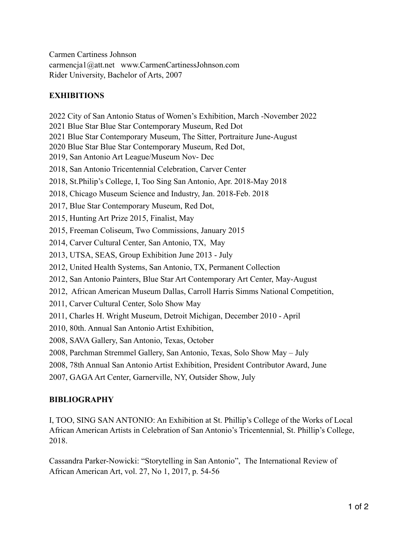Carmen Cartiness Johnson carmencja1@att.net www.CarmenCartinessJohnson.com Rider University, Bachelor of Arts, 2007

# **EXHIBITIONS**

2022 City of San Antonio Status of Women's Exhibition, March -November 2022 2021 Blue Star Blue Star Contemporary Museum, Red Dot 2021 Blue Star Contemporary Museum, The Sitter, Portraiture June-August 2020 Blue Star Blue Star Contemporary Museum, Red Dot, 2019, San Antonio Art League/Museum Nov- Dec 2018, San Antonio Tricentennial Celebration, Carver Center 2018, St.Philip's College, I, Too Sing San Antonio, Apr. 2018-May 2018 2018, Chicago Museum Science and Industry, Jan. 2018-Feb. 2018 2017, Blue Star Contemporary Museum, Red Dot, 2015, Hunting Art Prize 2015, Finalist, May 2015, Freeman Coliseum, Two Commissions, January 2015 2014, Carver Cultural Center, San Antonio, TX, May 2013, UTSA, SEAS, Group Exhibition June 2013 - July 2012, United Health Systems, San Antonio, TX, Permanent Collection 2012, San Antonio Painters, Blue Star Art Contemporary Art Center, May-August 2012, African American Museum Dallas, Carroll Harris Simms National Competition, 2011, Carver Cultural Center, Solo Show May 2011, Charles H. Wright Museum, Detroit Michigan, December 2010 - April 2010, 80th. Annual San Antonio Artist Exhibition, 2008, SAVA Gallery, San Antonio, Texas, October 2008, Parchman Stremmel Gallery, San Antonio, Texas, Solo Show May – July 2008, 78th Annual San Antonio Artist Exhibition, President Contributor Award, June

2007, GAGA Art Center, Garnerville, NY, Outsider Show, July

### **BIBLIOGRAPHY**

I, TOO, SING SAN ANTONIO: An Exhibition at St. Phillip's College of the Works of Local African American Artists in Celebration of San Antonio's Tricentennial, St. Phillip's College, 2018.

Cassandra Parker-Nowicki: "Storytelling in San Antonio", The International Review of African American Art, vol. 27, No 1, 2017, p. 54-56